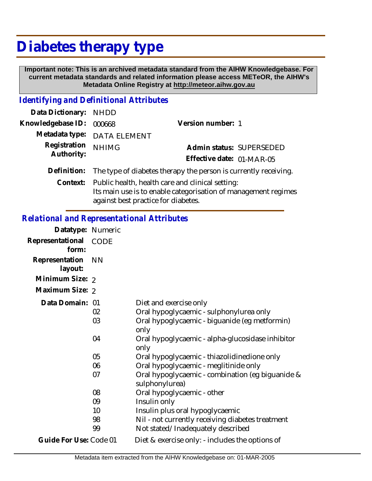## **Diabetes therapy type**

 **Important note: This is an archived metadata standard from the AIHW Knowledgebase. For current metadata standards and related information please access METeOR, the AIHW's Metadata Online Registry at http://meteor.aihw.gov.au**

## *Identifying and Definitional Attributes*

| Data Dictionary: NHDD |                                                                 |                           |                          |  |
|-----------------------|-----------------------------------------------------------------|---------------------------|--------------------------|--|
| Knowledgebase ID:     | 000668                                                          | Version number: 1         |                          |  |
| Metadata type:        | <b>DATA ELEMENT</b>                                             |                           |                          |  |
| Registration          | <b>NHIMG</b>                                                    |                           | Admin status: SUPERSEDED |  |
| Authority:            |                                                                 | Effective date: 01-MAR-05 |                          |  |
| Definition:           | The type of diabetes therapy the person is currently receiving. |                           |                          |  |
| Context:              | Public health, health care and clinical setting:                |                           |                          |  |
|                       | Its main use is to enable categorisation of management regimes  |                           |                          |  |
|                       | against best practice for diabetes.                             |                           |                          |  |

## *Relational and Representational Attributes*

| Datatype: Numeric         |             |                                                                    |
|---------------------------|-------------|--------------------------------------------------------------------|
| Representational<br>form: | <b>CODE</b> |                                                                    |
| Representation<br>layout: | <b>NN</b>   |                                                                    |
| Minimum Size: 2           |             |                                                                    |
| Maximum Size: 2           |             |                                                                    |
| Data Domain: 01           |             | Diet and exercise only                                             |
|                           | 02          | Oral hypoglycaemic - sulphonylurea only                            |
|                           | 03          | Oral hypoglycaemic - biguanide (eg metformin)<br>only              |
|                           | 04          | Oral hypoglycaemic - alpha-glucosidase inhibitor<br>only           |
|                           | 05          | Oral hypoglycaemic - thiazolidinedione only                        |
|                           | 06          | Oral hypoglycaemic - meglitinide only                              |
|                           | 07          | Oral hypoglycaemic - combination (eg biguanide &<br>sulphonylurea) |
|                           | 08          | Oral hypoglycaemic - other                                         |
|                           | 09          | Insulin only                                                       |
|                           | 10          | Insulin plus oral hypoglycaemic                                    |
|                           | 98          | Nil - not currently receiving diabetes treatment                   |
|                           | 99          | Not stated/Inadequately described                                  |
| Guide For Use: Code 01    |             | Diet & exercise only: - includes the options of                    |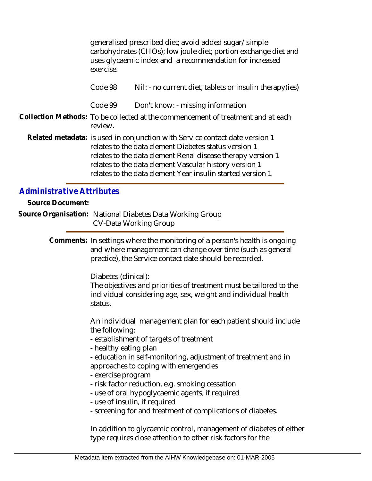|                                                      | generalised prescribed diet; avoid added sugar/simple<br>carbohydrates (CHOs); low joule diet; portion exchange diet and<br>uses glycaemic index and a recommendation for increased<br>exercise.                                                                                                                                                                              |                                                                                                                                                                   |  |  |  |
|------------------------------------------------------|-------------------------------------------------------------------------------------------------------------------------------------------------------------------------------------------------------------------------------------------------------------------------------------------------------------------------------------------------------------------------------|-------------------------------------------------------------------------------------------------------------------------------------------------------------------|--|--|--|
|                                                      | Code 98                                                                                                                                                                                                                                                                                                                                                                       | Nil: - no current diet, tablets or insulin therapy(ies)                                                                                                           |  |  |  |
|                                                      | Code 99                                                                                                                                                                                                                                                                                                                                                                       | Don't know: - missing information                                                                                                                                 |  |  |  |
|                                                      | review.                                                                                                                                                                                                                                                                                                                                                                       | Collection Methods: To be collected at the commencement of treatment and at each                                                                                  |  |  |  |
|                                                      | Related metadata: is used in conjunction with Service contact date version 1<br>relates to the data element Diabetes status version 1<br>relates to the data element Renal disease therapy version 1<br>relates to the data element Vascular history version 1<br>relates to the data element Year insulin started version 1                                                  |                                                                                                                                                                   |  |  |  |
| <b>Administrative Attributes</b><br>Source Document: |                                                                                                                                                                                                                                                                                                                                                                               |                                                                                                                                                                   |  |  |  |
|                                                      |                                                                                                                                                                                                                                                                                                                                                                               | Source Organisation: National Diabetes Data Working Group<br><b>CV-Data Working Group</b>                                                                         |  |  |  |
|                                                      | Comments: In settings where the monitoring of a person's health is ongoing<br>and where management can change over time (such as general<br>practice), the Service contact date should be recorded.<br>Diabetes (clinical):<br>The objectives and priorities of treatment must be tailored to the<br>individual considering age, sex, weight and individual health<br>status. |                                                                                                                                                                   |  |  |  |
|                                                      |                                                                                                                                                                                                                                                                                                                                                                               |                                                                                                                                                                   |  |  |  |
|                                                      | An individual management plan for each patient should include<br>the following:<br>- establishment of targets of treatment<br>- healthy eating plan<br>- education in self-monitoring, adjustment of treatment and in<br>approaches to coping with emergencies<br>- exercise program                                                                                          |                                                                                                                                                                   |  |  |  |
|                                                      | - use of insulin, if required                                                                                                                                                                                                                                                                                                                                                 | - risk factor reduction, e.g. smoking cessation<br>- use of oral hypoglycaemic agents, if required<br>- screening for and treatment of complications of diabetes. |  |  |  |
|                                                      |                                                                                                                                                                                                                                                                                                                                                                               | In addition to glycaemic control, management of diabetes of either                                                                                                |  |  |  |